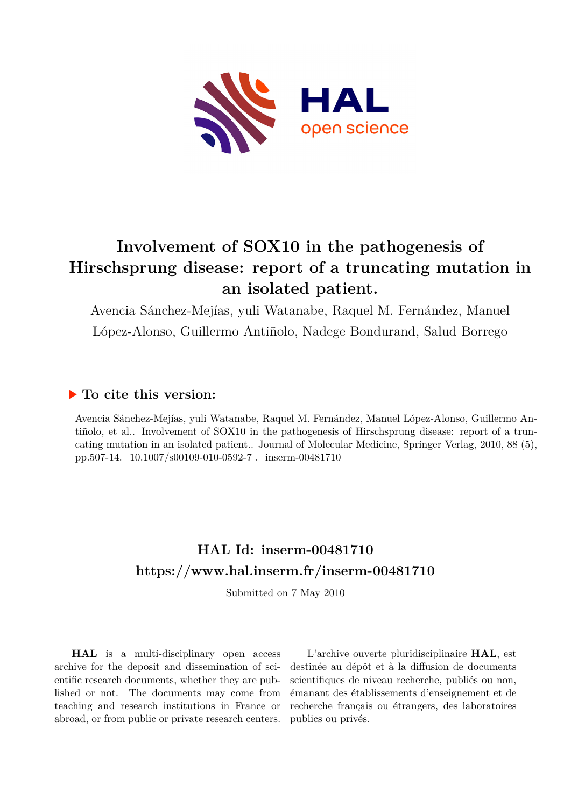

# **Involvement of SOX10 in the pathogenesis of Hirschsprung disease: report of a truncating mutation in an isolated patient.**

Avencia Sánchez-Mejías, yuli Watanabe, Raquel M. Fernández, Manuel López-Alonso, Guillermo Antiñolo, Nadege Bondurand, Salud Borrego

# **To cite this version:**

Avencia Sánchez-Mejías, yuli Watanabe, Raquel M. Fernández, Manuel López-Alonso, Guillermo Antiñolo, et al.. Involvement of SOX10 in the pathogenesis of Hirschsprung disease: report of a truncating mutation in an isolated patient.. Journal of Molecular Medicine, Springer Verlag, 2010, 88 (5), pp.507-14.  $10.1007/s00109-010-0592-7$ . inserm-00481710

# **HAL Id: inserm-00481710 <https://www.hal.inserm.fr/inserm-00481710>**

Submitted on 7 May 2010

**HAL** is a multi-disciplinary open access archive for the deposit and dissemination of scientific research documents, whether they are published or not. The documents may come from teaching and research institutions in France or abroad, or from public or private research centers.

L'archive ouverte pluridisciplinaire **HAL**, est destinée au dépôt et à la diffusion de documents scientifiques de niveau recherche, publiés ou non, émanant des établissements d'enseignement et de recherche français ou étrangers, des laboratoires publics ou privés.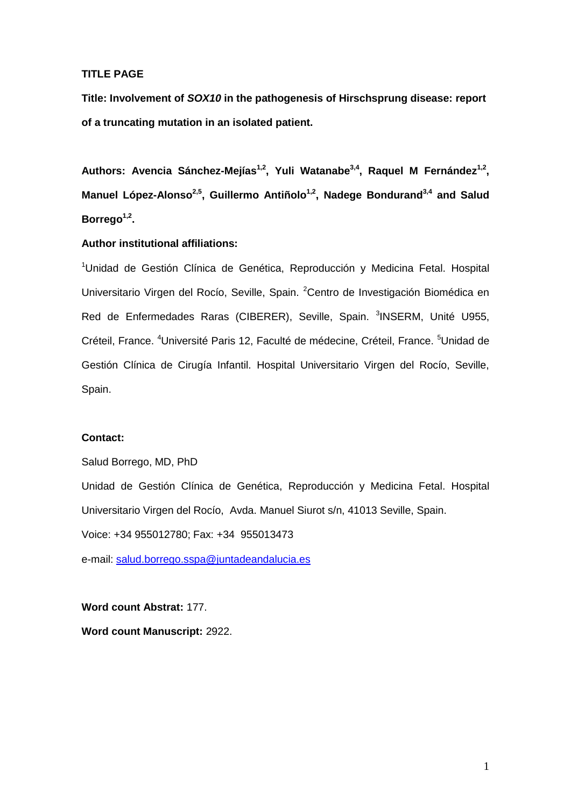# **TITLE PAGE**

**Title: Involvement of** *SOX10* **in the pathogenesis of Hirschsprung disease: report of a truncating mutation in an isolated patient.** 

Authors: Avencia Sánchez-Mejías<sup>1,2</sup>, Yuli Watanabe<sup>3,4</sup>, Raquel M Fernández<sup>1,2</sup>, **Manuel López-Alonso2,5, Guillermo Antiñolo1,2 , Nadege Bondurand3,4 and Salud Borrego1,2 .**

# **Author institutional affiliations:**

<sup>1</sup>Unidad de Gestión Clínica de Genética, Reproducción y Medicina Fetal. Hospital Universitario Virgen del Rocío, Seville, Spain. <sup>2</sup>Centro de Investigación Biomédica en Red de Enfermedades Raras (CIBERER), Seville, Spain. <sup>3</sup>INSERM, Unité U955, Créteil, France. <sup>4</sup>Université Paris 12, Faculté de médecine, Créteil, France. <sup>5</sup>Unidad de Gestión Clínica de Cirugía Infantil. Hospital Universitario Virgen del Rocío, Seville, Spain.

# **Contact:**

Salud Borrego, MD, PhD

Unidad de Gestión Clínica de Genética, Reproducción y Medicina Fetal. Hospital Universitario Virgen del Rocío, Avda. Manuel Siurot s/n, 41013 Seville, Spain.

Voice: +34 955012780; Fax: +34 955013473

e-mail: [salud.borrego.sspa@juntadeandalucia.es](mailto:salud.borrego.sspa@juntadeandalucia.es)

**Word count Abstrat:** 177. **Word count Manuscript:** 2922.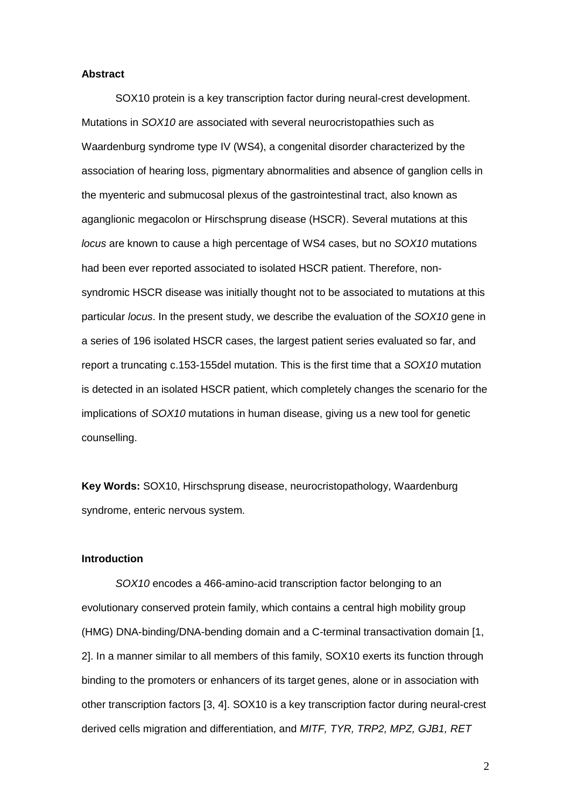#### **Abstract**

SOX10 protein is a key transcription factor during neural-crest development. Mutations in *SOX10* are associated with several neurocristopathies such as Waardenburg syndrome type IV (WS4), a congenital disorder characterized by the association of hearing loss, pigmentary abnormalities and absence of ganglion cells in the myenteric and submucosal plexus of the gastrointestinal tract, also known as aganglionic megacolon or Hirschsprung disease (HSCR). Several mutations at this *locus* are known to cause a high percentage of WS4 cases, but no *SOX10* mutations had been ever reported associated to isolated HSCR patient. Therefore, nonsyndromic HSCR disease was initially thought not to be associated to mutations at this particular *locus*. In the present study, we describe the evaluation of the *SOX10* gene in a series of 196 isolated HSCR cases, the largest patient series evaluated so far, and report a truncating c.153-155del mutation. This is the first time that a *SOX10* mutation is detected in an isolated HSCR patient, which completely changes the scenario for the implications of *SOX10* mutations in human disease, giving us a new tool for genetic counselling.

**Key Words:** SOX10, Hirschsprung disease, neurocristopathology, Waardenburg syndrome, enteric nervous system.

#### **Introduction**

*SOX10* encodes a 466-amino-acid transcription factor belonging to an evolutionary conserved protein family, which contains a central high mobility group (HMG) DNA-binding/DNA-bending domain and a C-terminal transactivation domain [1, 2]. In a manner similar to all members of this family, SOX10 exerts its function through binding to the promoters or enhancers of its target genes, alone or in association with other transcription factors [3, 4]. SOX10 is a key transcription factor during neural-crest derived cells migration and differentiation, and *MITF, TYR, TRP2, MPZ, GJB1, RET*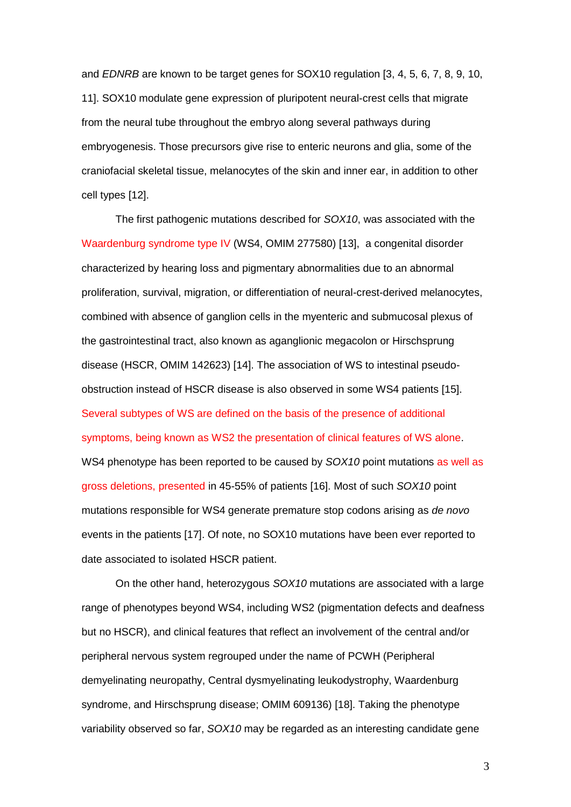and *EDNRB* are known to be target genes for SOX10 regulation [3, 4, 5, 6, 7, 8, 9, 10, 11]. SOX10 modulate gene expression of pluripotent neural-crest cells that migrate from the neural tube throughout the embryo along several pathways during embryogenesis. Those precursors give rise to enteric neurons and glia, some of the craniofacial skeletal tissue, melanocytes of the skin and inner ear, in addition to other cell types [12].

The first pathogenic mutations described for *SOX10*, was associated with the Waardenburg syndrome type IV (WS4, OMIM 277580) [13], a congenital disorder characterized by hearing loss and pigmentary abnormalities due to an abnormal proliferation, survival, migration, or differentiation of neural-crest-derived melanocytes, combined with absence of ganglion cells in the myenteric and submucosal plexus of the gastrointestinal tract, also known as aganglionic megacolon or Hirschsprung disease (HSCR, OMIM 142623) [14]. The association of WS to intestinal pseudoobstruction instead of HSCR disease is also observed in some WS4 patients [15]. Several subtypes of WS are defined on the basis of the presence of additional symptoms, being known as WS2 the presentation of clinical features of WS alone. WS4 phenotype has been reported to be caused by *SOX10* point mutations as well as gross deletions, presented in 45-55% of patients [16]. Most of such *SOX10* point mutations responsible for WS4 generate premature stop codons arising as *de novo* events in the patients [17]. Of note, no SOX10 mutations have been ever reported to date associated to isolated HSCR patient.

On the other hand, heterozygous *SOX10* mutations are associated with a large range of phenotypes beyond WS4, including WS2 (pigmentation defects and deafness but no HSCR), and clinical features that reflect an involvement of the central and/or peripheral nervous system regrouped under the name of PCWH (Peripheral demyelinating neuropathy, Central dysmyelinating leukodystrophy, Waardenburg syndrome, and Hirschsprung disease; OMIM 609136) [18]. Taking the phenotype variability observed so far, *SOX10* may be regarded as an interesting candidate gene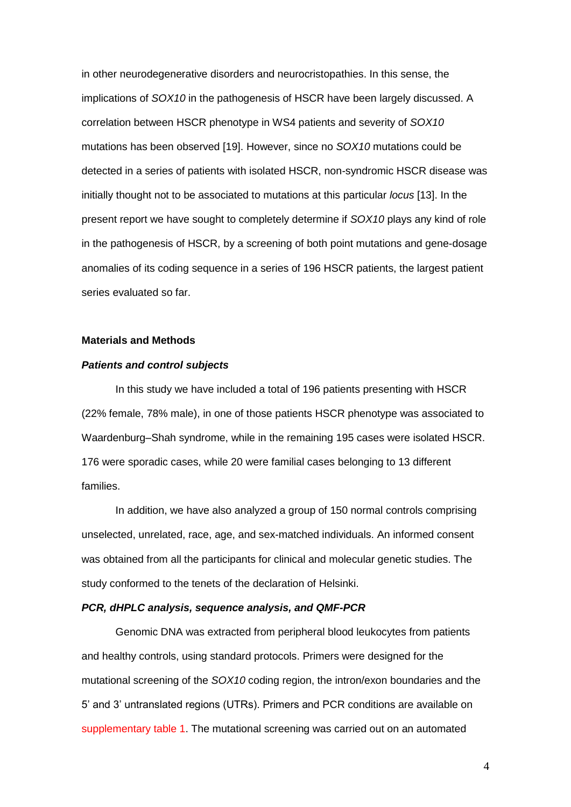in other neurodegenerative disorders and neurocristopathies. In this sense, the implications of *SOX10* in the pathogenesis of HSCR have been largely discussed. A correlation between HSCR phenotype in WS4 patients and severity of *SOX10* mutations has been observed [19]. However, since no *SOX10* mutations could be detected in a series of patients with isolated HSCR, non-syndromic HSCR disease was initially thought not to be associated to mutations at this particular *locus* [13]. In the present report we have sought to completely determine if *SOX10* plays any kind of role in the pathogenesis of HSCR, by a screening of both point mutations and gene-dosage anomalies of its coding sequence in a series of 196 HSCR patients, the largest patient series evaluated so far.

### **Materials and Methods**

#### *Patients and control subjects*

In this study we have included a total of 196 patients presenting with HSCR (22% female, 78% male), in one of those patients HSCR phenotype was associated to Waardenburg–Shah syndrome, while in the remaining 195 cases were isolated HSCR. 176 were sporadic cases, while 20 were familial cases belonging to 13 different families.

In addition, we have also analyzed a group of 150 normal controls comprising unselected, unrelated, race, age, and sex-matched individuals. An informed consent was obtained from all the participants for clinical and molecular genetic studies. The study conformed to the tenets of the declaration of Helsinki.

#### *PCR, dHPLC analysis, sequence analysis, and QMF-PCR*

Genomic DNA was extracted from peripheral blood leukocytes from patients and healthy controls, using standard protocols. Primers were designed for the mutational screening of the *SOX10* coding region, the intron/exon boundaries and the 5' and 3' untranslated regions (UTRs). Primers and PCR conditions are available on supplementary table 1. The mutational screening was carried out on an automated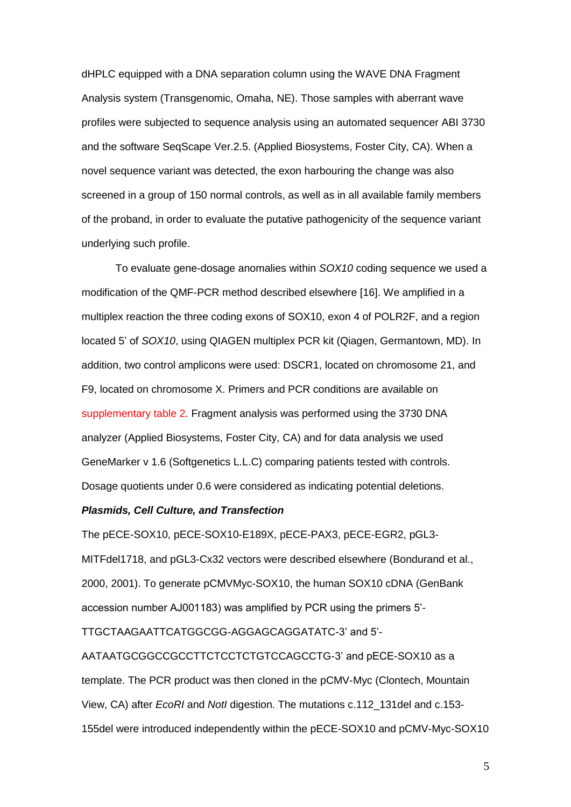dHPLC equipped with a DNA separation column using the WAVE DNA Fragment Analysis system (Transgenomic, Omaha, NE). Those samples with aberrant wave profiles were subjected to sequence analysis using an automated sequencer ABI 3730 and the software SeqScape Ver.2.5. (Applied Biosystems, Foster City, CA). When a novel sequence variant was detected, the exon harbouring the change was also screened in a group of 150 normal controls, as well as in all available family members of the proband, in order to evaluate the putative pathogenicity of the sequence variant underlying such profile.

To evaluate gene-dosage anomalies within *SOX10* coding sequence we used a modification of the QMF-PCR method described elsewhere [16]. We amplified in a multiplex reaction the three coding exons of SOX10, exon 4 of POLR2F, and a region located 5' of *SOX10*, using QIAGEN multiplex PCR kit (Qiagen, Germantown, MD). In addition, two control amplicons were used: DSCR1, located on chromosome 21, and F9, located on chromosome X. Primers and PCR conditions are available on supplementary table 2. Fragment analysis was performed using the 3730 DNA analyzer (Applied Biosystems, Foster City, CA) and for data analysis we used GeneMarker v 1.6 (Softgenetics L.L.C) comparing patients tested with controls. Dosage quotients under 0.6 were considered as indicating potential deletions.

#### *Plasmids, Cell Culture, and Transfection*

The pECE-SOX10, pECE-SOX10-E189X, pECE-PAX3, pECE-EGR2, pGL3- MITFdel1718, and pGL3-Cx32 vectors were described elsewhere (Bondurand et al., 2000, 2001). To generate pCMVMyc-SOX10, the human SOX10 cDNA (GenBank accession number AJ001183) was amplified by PCR using the primers 5'-

TTGCTAAGAATTCATGGCGG-AGGAGCAGGATATC-3' and 5'-

AATAATGCGGCCGCCTTCTCCTCTGTCCAGCCTG-3' and pECE-SOX10 as a template. The PCR product was then cloned in the pCMV-Myc (Clontech, Mountain View, CA) after *EcoRI* and *NotI* digestion. The mutations c.112\_131del and c.153- 155del were introduced independently within the pECE-SOX10 and pCMV-Myc-SOX10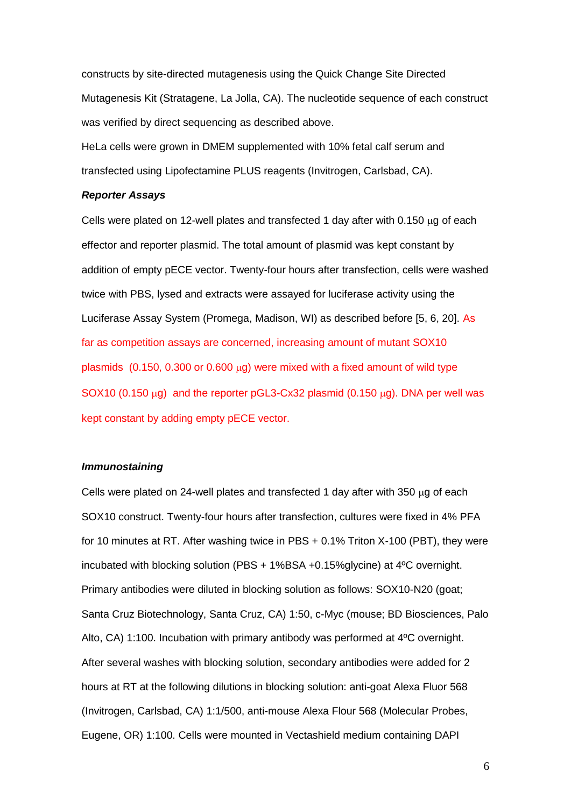constructs by site-directed mutagenesis using the Quick Change Site Directed Mutagenesis Kit (Stratagene, La Jolla, CA). The nucleotide sequence of each construct was verified by direct sequencing as described above.

HeLa cells were grown in DMEM supplemented with 10% fetal calf serum and transfected using Lipofectamine PLUS reagents (Invitrogen, Carlsbad, CA).

#### *Reporter Assays*

Cells were plated on 12-well plates and transfected 1 day after with  $0.150 \mu g$  of each effector and reporter plasmid. The total amount of plasmid was kept constant by addition of empty pECE vector. Twenty-four hours after transfection, cells were washed twice with PBS, lysed and extracts were assayed for luciferase activity using the Luciferase Assay System (Promega, Madison, WI) as described before [5, 6, 20]. As far as competition assays are concerned, increasing amount of mutant SOX10 plasmids  $(0.150, 0.300 \text{ or } 0.600 \mu\text{g})$  were mixed with a fixed amount of wild type SOX10 (0.150  $\mu$ g) and the reporter pGL3-Cx32 plasmid (0.150  $\mu$ g). DNA per well was kept constant by adding empty pECE vector.

#### *Immunostaining*

Cells were plated on 24-well plates and transfected 1 day after with 350  $\mu$ g of each SOX10 construct. Twenty-four hours after transfection, cultures were fixed in 4% PFA for 10 minutes at RT. After washing twice in PBS + 0.1% Triton X-100 (PBT), they were incubated with blocking solution (PBS + 1%BSA +0.15%glycine) at 4ºC overnight. Primary antibodies were diluted in blocking solution as follows: SOX10-N20 (goat; Santa Cruz Biotechnology, Santa Cruz, CA) 1:50, c-Myc (mouse; BD Biosciences, Palo Alto, CA) 1:100. Incubation with primary antibody was performed at 4ºC overnight. After several washes with blocking solution, secondary antibodies were added for 2 hours at RT at the following dilutions in blocking solution: anti-goat Alexa Fluor 568 (Invitrogen, Carlsbad, CA) 1:1/500, anti-mouse Alexa Flour 568 (Molecular Probes, Eugene, OR) 1:100. Cells were mounted in Vectashield medium containing DAPI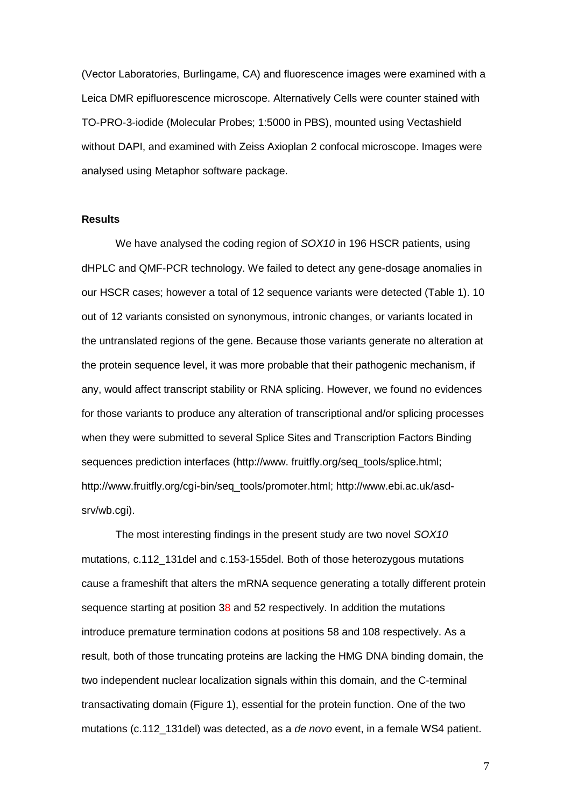(Vector Laboratories, Burlingame, CA) and fluorescence images were examined with a Leica DMR epifluorescence microscope. Alternatively Cells were counter stained with TO-PRO-3-iodide (Molecular Probes; 1:5000 in PBS), mounted using Vectashield without DAPI, and examined with Zeiss Axioplan 2 confocal microscope. Images were analysed using Metaphor software package.

### **Results**

We have analysed the coding region of *SOX10* in 196 HSCR patients, using dHPLC and QMF-PCR technology. We failed to detect any gene-dosage anomalies in our HSCR cases; however a total of 12 sequence variants were detected (Table 1). 10 out of 12 variants consisted on synonymous, intronic changes, or variants located in the untranslated regions of the gene. Because those variants generate no alteration at the protein sequence level, it was more probable that their pathogenic mechanism, if any, would affect transcript stability or RNA splicing. However, we found no evidences for those variants to produce any alteration of transcriptional and/or splicing processes when they were submitted to several Splice Sites and Transcription Factors Binding sequences prediction interfaces (http://www.fruitfly.org/seq\_tools/splice.html; http://www.fruitfly.org/cgi-bin/seq\_tools/promoter.html; http://www.ebi.ac.uk/asdsrv/wb.cgi).

The most interesting findings in the present study are two novel *SOX10* mutations, c.112\_131del and c.153-155del. Both of those heterozygous mutations cause a frameshift that alters the mRNA sequence generating a totally different protein sequence starting at position 38 and 52 respectively. In addition the mutations introduce premature termination codons at positions 58 and 108 respectively. As a result, both of those truncating proteins are lacking the HMG DNA binding domain, the two independent nuclear localization signals within this domain, and the C-terminal transactivating domain (Figure 1), essential for the protein function. One of the two mutations (c.112\_131del) was detected, as a *de novo* event, in a female WS4 patient.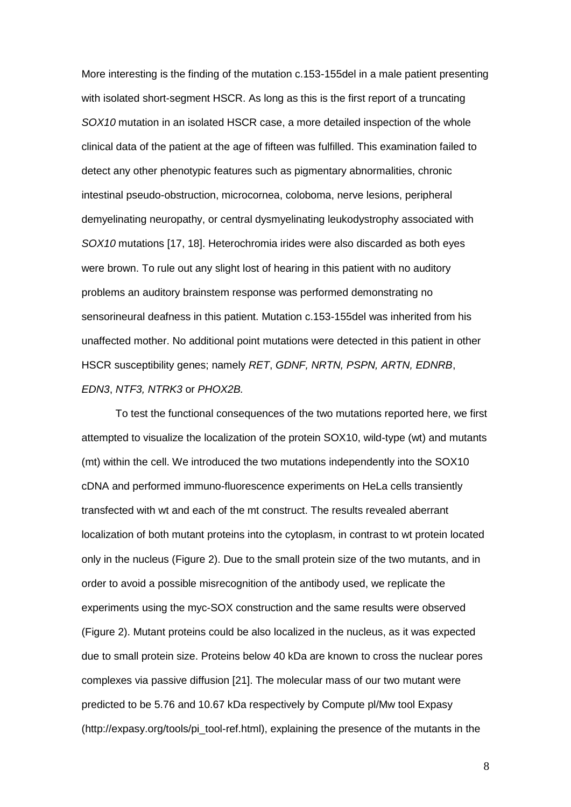More interesting is the finding of the mutation c.153-155del in a male patient presenting with isolated short-segment HSCR. As long as this is the first report of a truncating *SOX10* mutation in an isolated HSCR case, a more detailed inspection of the whole clinical data of the patient at the age of fifteen was fulfilled. This examination failed to detect any other phenotypic features such as pigmentary abnormalities, chronic intestinal pseudo-obstruction, microcornea, coloboma, nerve lesions, peripheral demyelinating neuropathy, or central dysmyelinating leukodystrophy associated with *SOX10* mutations [17, 18]. Heterochromia irides were also discarded as both eyes were brown. To rule out any slight lost of hearing in this patient with no auditory problems an auditory brainstem response was performed demonstrating no sensorineural deafness in this patient. Mutation c.153-155del was inherited from his unaffected mother. No additional point mutations were detected in this patient in other HSCR susceptibility genes; namely *RET*, *GDNF, NRTN, PSPN, ARTN, EDNRB*, *EDN3*, *NTF3, NTRK3* or *PHOX2B.*

To test the functional consequences of the two mutations reported here, we first attempted to visualize the localization of the protein SOX10, wild-type (wt) and mutants (mt) within the cell. We introduced the two mutations independently into the SOX10 cDNA and performed immuno-fluorescence experiments on HeLa cells transiently transfected with wt and each of the mt construct. The results revealed aberrant localization of both mutant proteins into the cytoplasm, in contrast to wt protein located only in the nucleus (Figure 2). Due to the small protein size of the two mutants, and in order to avoid a possible misrecognition of the antibody used, we replicate the experiments using the myc-SOX construction and the same results were observed (Figure 2). Mutant proteins could be also localized in the nucleus, as it was expected due to small protein size. Proteins below 40 kDa are known to cross the nuclear pores complexes via passive diffusion [21]. The molecular mass of our two mutant were predicted to be 5.76 and 10.67 kDa respectively by Compute pl/Mw tool Expasy (http://expasy.org/tools/pi\_tool-ref.html), explaining the presence of the mutants in the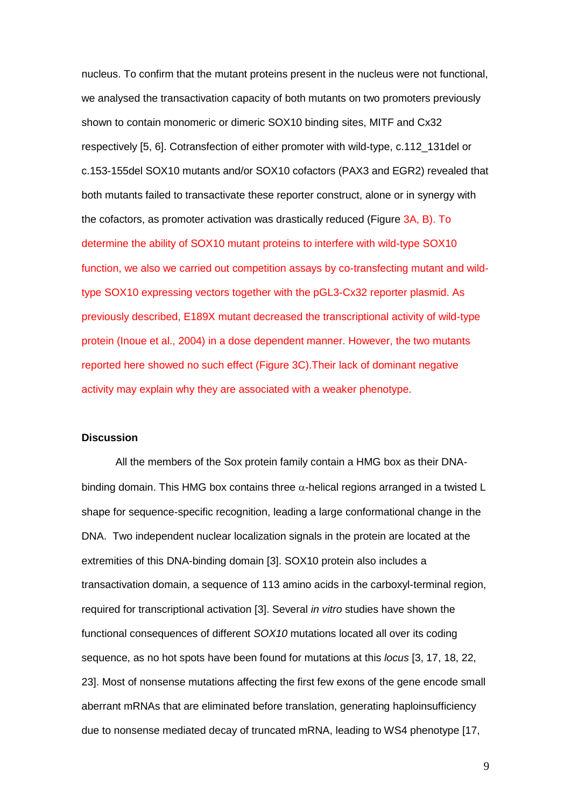nucleus. To confirm that the mutant proteins present in the nucleus were not functional, we analysed the transactivation capacity of both mutants on two promoters previously shown to contain monomeric or dimeric SOX10 binding sites, MITF and Cx32 respectively [5, 6]. Cotransfection of either promoter with wild-type, c.112\_131del or c.153-155del SOX10 mutants and/or SOX10 cofactors (PAX3 and EGR2) revealed that both mutants failed to transactivate these reporter construct, alone or in synergy with the cofactors, as promoter activation was drastically reduced (Figure 3A, B). To determine the ability of SOX10 mutant proteins to interfere with wild-type SOX10 function, we also we carried out competition assays by co-transfecting mutant and wildtype SOX10 expressing vectors together with the pGL3-Cx32 reporter plasmid. As previously described, E189X mutant decreased the transcriptional activity of wild-type protein (Inoue et al., 2004) in a dose dependent manner. However, the two mutants reported here showed no such effect (Figure 3C).Their lack of dominant negative activity may explain why they are associated with a weaker phenotype.

# **Discussion**

All the members of the Sox protein family contain a HMG box as their DNAbinding domain. This HMG box contains three  $\alpha$ -helical regions arranged in a twisted L shape for sequence-specific recognition, leading a large conformational change in the DNA. Two independent nuclear localization signals in the protein are located at the extremities of this DNA-binding domain [3]. SOX10 protein also includes a transactivation domain, a sequence of 113 amino acids in the carboxyl-terminal region, required for transcriptional activation [3]. Several *in vitro* studies have shown the functional consequences of different *SOX10* mutations located all over its coding sequence, as no hot spots have been found for mutations at this *locus* [3, 17, 18, 22, 23]. Most of nonsense mutations affecting the first few exons of the gene encode small aberrant mRNAs that are eliminated before translation, generating haploinsufficiency due to nonsense mediated decay of truncated mRNA, leading to WS4 phenotype [17,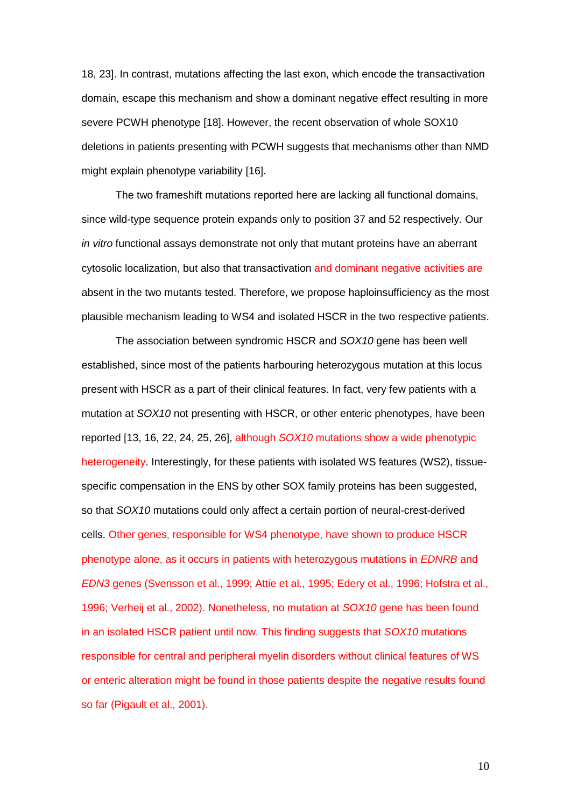18, 23]. In contrast, mutations affecting the last exon, which encode the transactivation domain, escape this mechanism and show a dominant negative effect resulting in more severe PCWH phenotype [18]. However, the recent observation of whole SOX10 deletions in patients presenting with PCWH suggests that mechanisms other than NMD might explain phenotype variability [16].

The two frameshift mutations reported here are lacking all functional domains, since wild-type sequence protein expands only to position 37 and 52 respectively. Our *in vitro* functional assays demonstrate not only that mutant proteins have an aberrant cytosolic localization, but also that transactivation and dominant negative activities are absent in the two mutants tested. Therefore, we propose haploinsufficiency as the most plausible mechanism leading to WS4 and isolated HSCR in the two respective patients.

The association between syndromic HSCR and *SOX10* gene has been well established, since most of the patients harbouring heterozygous mutation at this locus present with HSCR as a part of their clinical features. In fact, very few patients with a mutation at *SOX10* not presenting with HSCR, or other enteric phenotypes, have been reported [13, 16, 22, 24, 25, 26], although *SOX10* mutations show a wide phenotypic heterogeneity. Interestingly, for these patients with isolated WS features (WS2), tissuespecific compensation in the ENS by other SOX family proteins has been suggested, so that *SOX10* mutations could only affect a certain portion of neural-crest-derived cells. Other genes, responsible for WS4 phenotype, have shown to produce HSCR phenotype alone, as it occurs in patients with heterozygous mutations in *EDNRB* and *EDN3* genes (Svensson et al., 1999; Attie et al., 1995; Edery et al., 1996; Hofstra et al., 1996; Verheij et al., 2002). Nonetheless, no mutation at *SOX10* gene has been found in an isolated HSCR patient until now. This finding suggests that *SOX10* mutations responsible for central and peripheral myelin disorders without clinical features of WS or enteric alteration might be found in those patients despite the negative results found so far (Pigault et al., 2001).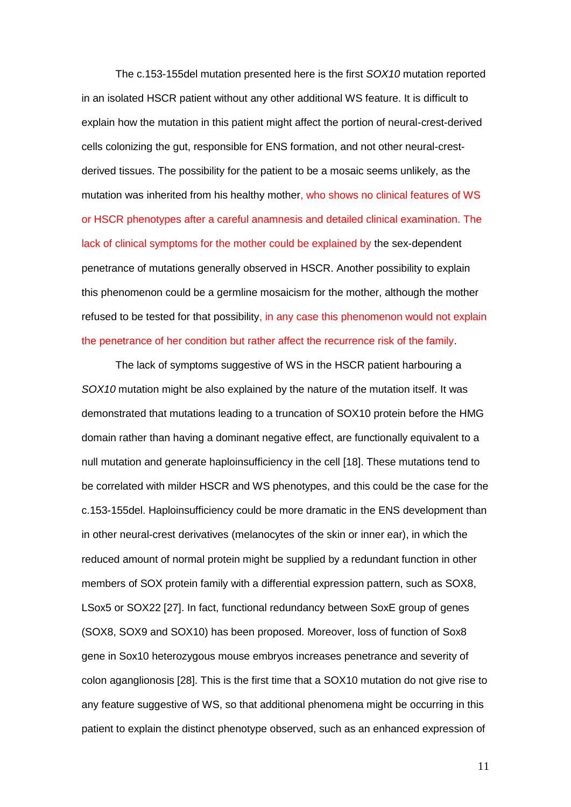The c.153-155del mutation presented here is the first *SOX10* mutation reported in an isolated HSCR patient without any other additional WS feature. It is difficult to explain how the mutation in this patient might affect the portion of neural-crest-derived cells colonizing the gut, responsible for ENS formation, and not other neural-crestderived tissues. The possibility for the patient to be a mosaic seems unlikely, as the mutation was inherited from his healthy mother, who shows no clinical features of WS or HSCR phenotypes after a careful anamnesis and detailed clinical examination. The lack of clinical symptoms for the mother could be explained by the sex-dependent penetrance of mutations generally observed in HSCR. Another possibility to explain this phenomenon could be a germline mosaicism for the mother, although the mother refused to be tested for that possibility, in any case this phenomenon would not explain the penetrance of her condition but rather affect the recurrence risk of the family.

The lack of symptoms suggestive of WS in the HSCR patient harbouring a *SOX10* mutation might be also explained by the nature of the mutation itself. It was demonstrated that mutations leading to a truncation of SOX10 protein before the HMG domain rather than having a dominant negative effect, are functionally equivalent to a null mutation and generate haploinsufficiency in the cell [18]. These mutations tend to be correlated with milder HSCR and WS phenotypes, and this could be the case for the c.153-155del. Haploinsufficiency could be more dramatic in the ENS development than in other neural-crest derivatives (melanocytes of the skin or inner ear), in which the reduced amount of normal protein might be supplied by a redundant function in other members of SOX protein family with a differential expression pattern, such as SOX8, LSox5 or SOX22 [27]. In fact, functional redundancy between SoxE group of genes (SOX8, SOX9 and SOX10) has been proposed. Moreover, loss of function of Sox8 gene in Sox10 heterozygous mouse embryos increases penetrance and severity of colon aganglionosis [28]. This is the first time that a SOX10 mutation do not give rise to any feature suggestive of WS, so that additional phenomena might be occurring in this patient to explain the distinct phenotype observed, such as an enhanced expression of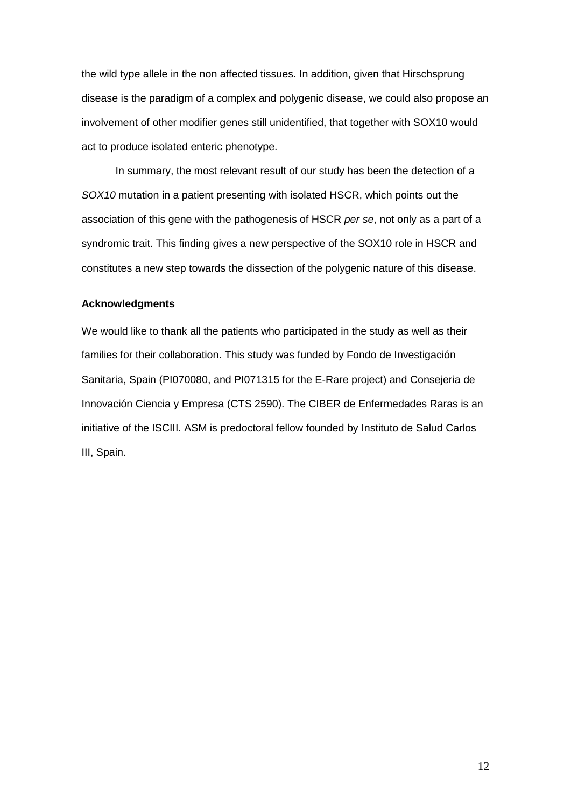the wild type allele in the non affected tissues. In addition, given that Hirschsprung disease is the paradigm of a complex and polygenic disease, we could also propose an involvement of other modifier genes still unidentified, that together with SOX10 would act to produce isolated enteric phenotype.

In summary, the most relevant result of our study has been the detection of a *SOX10* mutation in a patient presenting with isolated HSCR, which points out the association of this gene with the pathogenesis of HSCR *per se*, not only as a part of a syndromic trait. This finding gives a new perspective of the SOX10 role in HSCR and constitutes a new step towards the dissection of the polygenic nature of this disease.

#### **Acknowledgments**

We would like to thank all the patients who participated in the study as well as their families for their collaboration. This study was funded by Fondo de Investigación Sanitaria, Spain (PI070080, and PI071315 for the E-Rare project) and Consejeria de Innovación Ciencia y Empresa (CTS 2590). The CIBER de Enfermedades Raras is an initiative of the ISCIII. ASM is predoctoral fellow founded by Instituto de Salud Carlos III, Spain.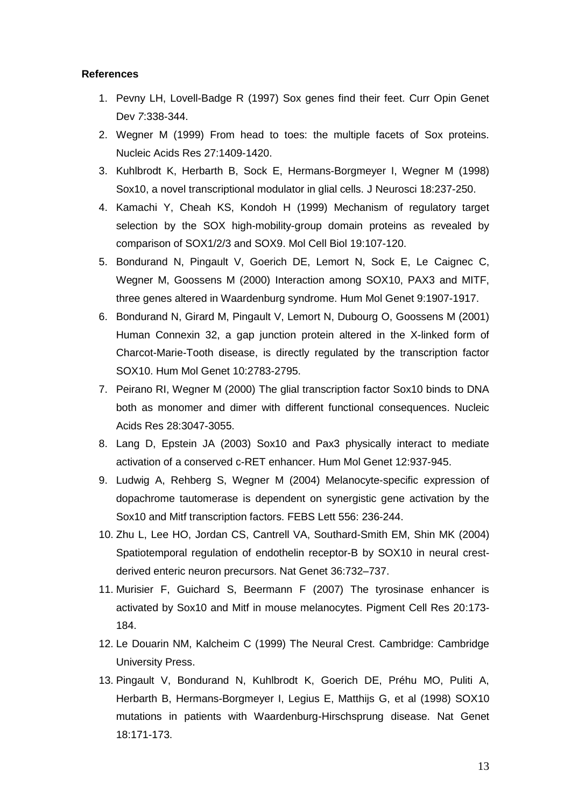#### **References**

- 1. Pevny LH, Lovell-Badge R (1997) Sox genes find their feet. Curr Opin Genet Dev *7*:338-344.
- 2. Wegner M (1999) From head to toes: the multiple facets of Sox proteins. Nucleic Acids Res 27:1409-1420.
- 3. Kuhlbrodt K, Herbarth B, Sock E, Hermans-Borgmeyer I, Wegner M (1998) Sox10, a novel transcriptional modulator in glial cells. J Neurosci 18:237-250.
- 4. Kamachi Y, Cheah KS, Kondoh H (1999) Mechanism of regulatory target selection by the SOX high-mobility-group domain proteins as revealed by comparison of SOX1/2/3 and SOX9. Mol Cell Biol 19:107-120.
- 5. Bondurand N, Pingault V, Goerich DE, Lemort N, Sock E, Le Caignec C, Wegner M, Goossens M (2000) Interaction among SOX10, PAX3 and MITF, three genes altered in Waardenburg syndrome. Hum Mol Genet 9:1907-1917.
- 6. Bondurand N, Girard M, Pingault V, Lemort N, Dubourg O, Goossens M (2001) Human Connexin 32, a gap junction protein altered in the X-linked form of Charcot-Marie-Tooth disease, is directly regulated by the transcription factor SOX10. Hum Mol Genet 10:2783-2795.
- 7. Peirano RI, Wegner M (2000) The glial transcription factor Sox10 binds to DNA both as monomer and dimer with different functional consequences. Nucleic Acids Res 28:3047-3055.
- 8. Lang D, Epstein JA (2003) Sox10 and Pax3 physically interact to mediate activation of a conserved c-RET enhancer. Hum Mol Genet 12:937-945.
- 9. Ludwig A, Rehberg S, Wegner M (2004) Melanocyte-specific expression of dopachrome tautomerase is dependent on synergistic gene activation by the Sox10 and Mitf transcription factors. FEBS Lett 556: 236-244.
- 10. Zhu L, Lee HO, Jordan CS, Cantrell VA, Southard-Smith EM, Shin MK (2004) Spatiotemporal regulation of endothelin receptor-B by SOX10 in neural crestderived enteric neuron precursors. Nat Genet 36:732–737.
- 11. Murisier F, Guichard S, Beermann F (2007) The tyrosinase enhancer is activated by Sox10 and Mitf in mouse melanocytes. Pigment Cell Res 20:173- 184.
- 12. Le Douarin NM, Kalcheim C (1999) The Neural Crest. Cambridge: Cambridge University Press.
- 13. Pingault V, Bondurand N, Kuhlbrodt K, Goerich DE, Préhu MO, Puliti A, Herbarth B, Hermans-Borgmeyer I, Legius E, Matthijs G, et al (1998) SOX10 mutations in patients with Waardenburg-Hirschsprung disease. Nat Genet 18:171-173.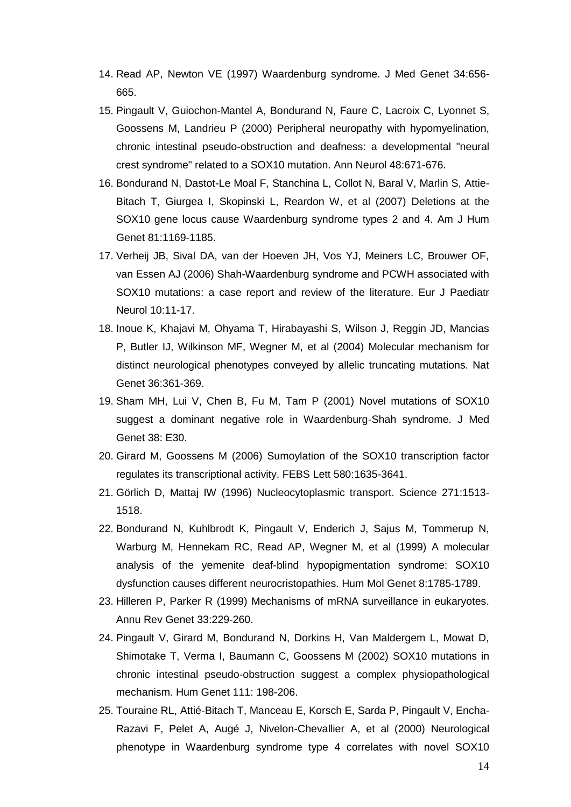- 14. Read AP, Newton VE (1997) Waardenburg syndrome. J Med Genet 34:656- 665.
- 15. Pingault V, Guiochon-Mantel A, Bondurand N, Faure C, Lacroix C, Lyonnet S, Goossens M, Landrieu P (2000) Peripheral neuropathy with hypomyelination, chronic intestinal pseudo-obstruction and deafness: a developmental "neural crest syndrome" related to a SOX10 mutation. Ann Neurol 48:671-676.
- 16. Bondurand N, Dastot-Le Moal F, Stanchina L, Collot N, Baral V, Marlin S, Attie-Bitach T, Giurgea I, Skopinski L, Reardon W, et al (2007) Deletions at the SOX10 gene locus cause Waardenburg syndrome types 2 and 4. Am J Hum Genet 81:1169-1185.
- 17. Verheij JB, Sival DA, van der Hoeven JH, Vos YJ, Meiners LC, Brouwer OF, van Essen AJ (2006) Shah-Waardenburg syndrome and PCWH associated with SOX10 mutations: a case report and review of the literature. Eur J Paediatr Neurol 10:11-17.
- 18. Inoue K, Khajavi M, Ohyama T, Hirabayashi S, Wilson J, Reggin JD, Mancias P, Butler IJ, Wilkinson MF, Wegner M, et al (2004) Molecular mechanism for distinct neurological phenotypes conveyed by allelic truncating mutations. Nat Genet 36:361-369.
- 19. Sham MH, Lui V, Chen B, Fu M, Tam P (2001) Novel mutations of SOX10 suggest a dominant negative role in Waardenburg-Shah syndrome. J Med Genet 38: E30.
- 20. Girard M, Goossens M (2006) Sumoylation of the SOX10 transcription factor regulates its transcriptional activity. FEBS Lett 580:1635-3641.
- 21. Görlich D, Mattaj IW (1996) Nucleocytoplasmic transport. Science 271:1513- 1518.
- 22. Bondurand N, Kuhlbrodt K, Pingault V, Enderich J, Sajus M, Tommerup N, Warburg M, Hennekam RC, Read AP, Wegner M, et al (1999) A molecular analysis of the yemenite deaf-blind hypopigmentation syndrome: SOX10 dysfunction causes different neurocristopathies. Hum Mol Genet 8:1785-1789.
- 23. Hilleren P, Parker R (1999) Mechanisms of mRNA surveillance in eukaryotes. Annu Rev Genet 33:229-260.
- 24. Pingault V, Girard M, Bondurand N, Dorkins H, Van Maldergem L, Mowat D, Shimotake T, Verma I, Baumann C, Goossens M (2002) SOX10 mutations in chronic intestinal pseudo-obstruction suggest a complex physiopathological mechanism. Hum Genet 111: 198-206.
- 25. Touraine RL, Attié-Bitach T, Manceau E, Korsch E, Sarda P, Pingault V, Encha-Razavi F, Pelet A, Augé J, Nivelon-Chevallier A, et al (2000) Neurological phenotype in Waardenburg syndrome type 4 correlates with novel SOX10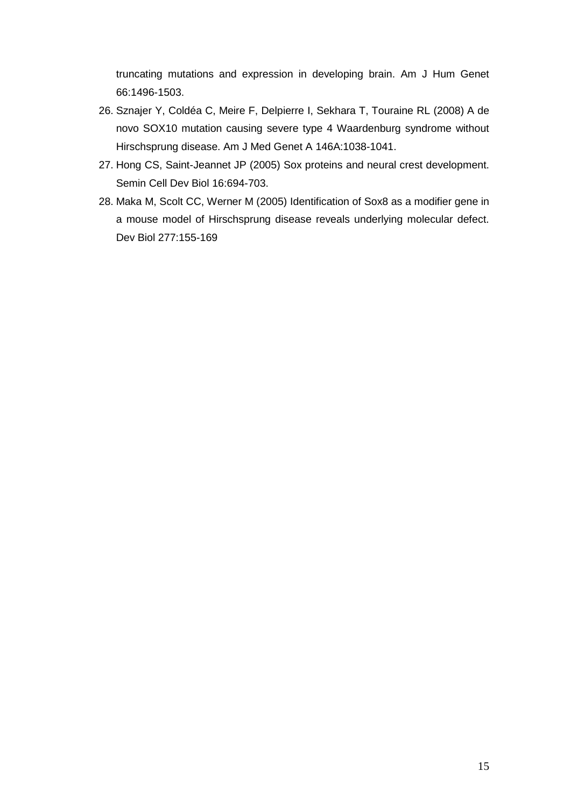truncating mutations and expression in developing brain. Am J Hum Genet 66:1496-1503.

- 26. Sznajer Y, Coldéa C, Meire F, Delpierre I, Sekhara T, Touraine RL (2008) A de novo SOX10 mutation causing severe type 4 Waardenburg syndrome without Hirschsprung disease. Am J Med Genet A 146A:1038-1041.
- 27. Hong CS, Saint-Jeannet JP (2005) Sox proteins and neural crest development. Semin Cell Dev Biol 16:694-703.
- 28. Maka M, Scolt CC, Werner M (2005) Identification of Sox8 as a modifier gene in a mouse model of Hirschsprung disease reveals underlying molecular defect. Dev Biol 277:155-169